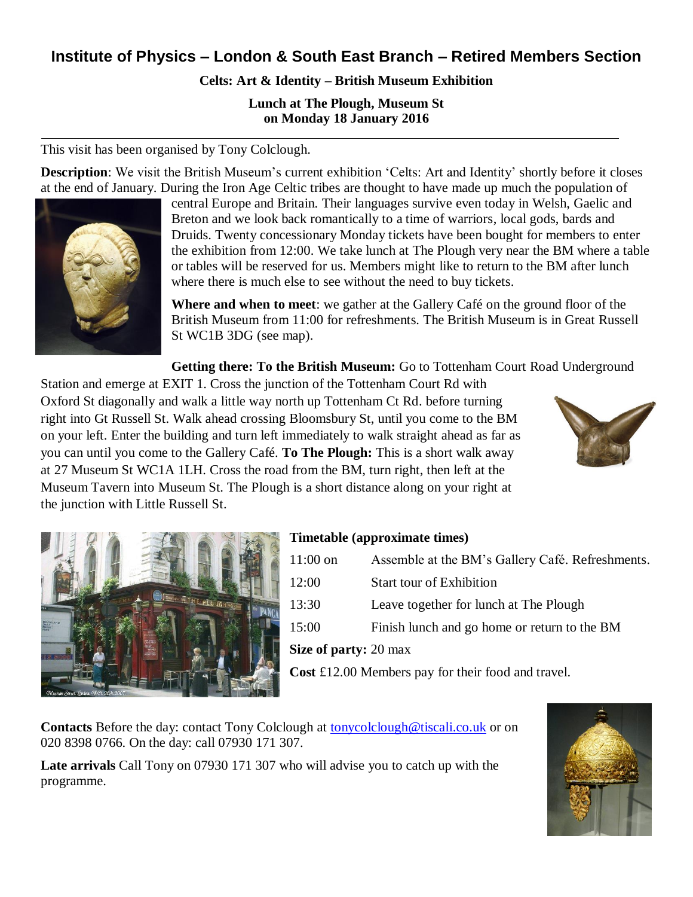## **Institute of Physics – London & South East Branch – Retired Members Section**

**Celts: Art & Identity – British Museum Exhibition**

**Lunch at The Plough, Museum St on Monday 18 January 2016**

This visit has been organised by Tony Colclough.

**Description**: We visit the British Museum's current exhibition 'Celts: Art and Identity' shortly before it closes at the end of January. During the Iron Age Celtic tribes are thought to have made up much the population of



central Europe and Britain. Their languages survive even today in Welsh, Gaelic and Breton and we look back romantically to a time of warriors, local gods, bards and Druids. Twenty concessionary Monday tickets have been bought for members to enter the exhibition from 12:00. We take lunch at The Plough very near the BM where a table or tables will be reserved for us. Members might like to return to the BM after lunch where there is much else to see without the need to buy tickets.

**Where and when to meet**: we gather at the Gallery Café on the ground floor of the British Museum from 11:00 for refreshments. The British Museum is in Great Russell St WC1B 3DG (see map).

**Getting there: To the British Museum:** Go to Tottenham Court Road Underground

Station and emerge at EXIT 1. Cross the junction of the Tottenham Court Rd with Oxford St diagonally and walk a little way north up Tottenham Ct Rd. before turning right into Gt Russell St. Walk ahead crossing Bloomsbury St, until you come to the BM on your left. Enter the building and turn left immediately to walk straight ahead as far as you can until you come to the Gallery Café. **To The Plough:** This is a short walk away at 27 Museum St WC1A 1LH. Cross the road from the BM, turn right, then left at the Museum Tavern into Museum St. The Plough is a short distance along on your right at the junction with Little Russell St.





## **Timetable (approximate times)**

| Cost £12.00 Members pay for their food and travel. |                                                  |
|----------------------------------------------------|--------------------------------------------------|
| Size of party: 20 max                              |                                                  |
| 15:00                                              | Finish lunch and go home or return to the BM     |
| 13:30                                              | Leave together for lunch at The Plough           |
| 12:00                                              | <b>Start tour of Exhibition</b>                  |
| $11:00$ on                                         | Assemble at the BM's Gallery Café. Refreshments. |

**Contacts** Before the day: contact Tony Colclough at [tonycolclough@tiscali.co.uk](mailto:tonycolclough@tiscali.co.uk) or on 020 8398 0766. On the day: call 07930 171 307.

**Late arrivals** Call Tony on 07930 171 307 who will advise you to catch up with the programme.